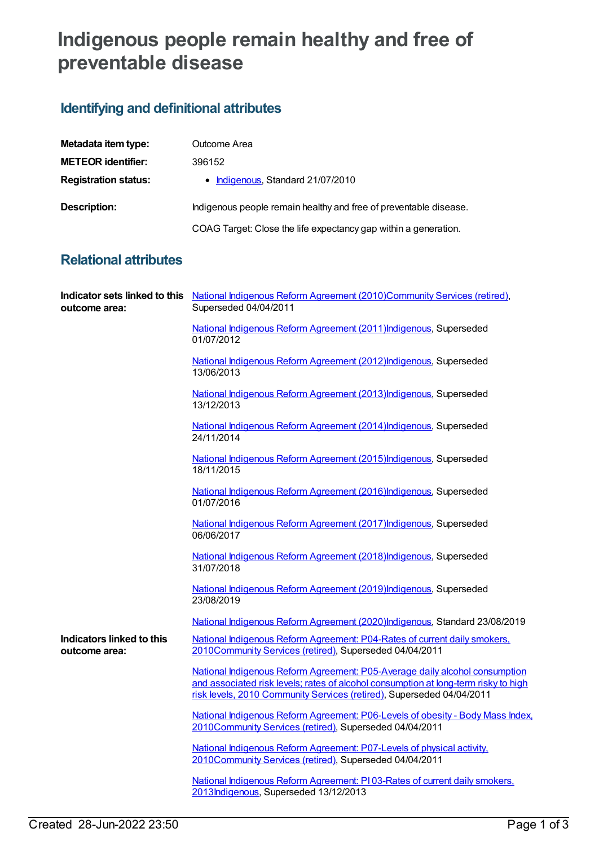## **Indigenous people remain healthy and free of preventable disease**

## **Identifying and definitional attributes**

| Metadata item type:         | Outcome Area                                                      |
|-----------------------------|-------------------------------------------------------------------|
| <b>METEOR identifier:</b>   | 396152                                                            |
| <b>Registration status:</b> | • Indigenous, Standard 21/07/2010                                 |
| Description:                | Indigenous people remain healthy and free of preventable disease. |
|                             | COAG Target: Close the life expectancy gap within a generation.   |

## **Relational attributes**

| outcome area:                              | Indicator sets linked to this National Indigenous Reform Agreement (2010)Community Services (retired),<br>Superseded 04/04/2011                                                                                                             |
|--------------------------------------------|---------------------------------------------------------------------------------------------------------------------------------------------------------------------------------------------------------------------------------------------|
|                                            | National Indigenous Reform Agreement (2011) Indigenous, Superseded<br>01/07/2012                                                                                                                                                            |
|                                            | National Indigenous Reform Agreement (2012) Indigenous, Superseded<br>13/06/2013                                                                                                                                                            |
|                                            | National Indigenous Reform Agreement (2013) Indigenous, Superseded<br>13/12/2013                                                                                                                                                            |
|                                            | National Indigenous Reform Agreement (2014) Indigenous, Superseded<br>24/11/2014                                                                                                                                                            |
|                                            | National Indigenous Reform Agreement (2015) Indigenous, Superseded<br>18/11/2015                                                                                                                                                            |
|                                            | National Indigenous Reform Agreement (2016) Indigenous, Superseded<br>01/07/2016                                                                                                                                                            |
|                                            | National Indigenous Reform Agreement (2017) Indigenous, Superseded<br>06/06/2017                                                                                                                                                            |
|                                            | National Indigenous Reform Agreement (2018) Indigenous, Superseded<br>31/07/2018                                                                                                                                                            |
|                                            | National Indigenous Reform Agreement (2019) Indigenous, Superseded<br>23/08/2019                                                                                                                                                            |
|                                            | National Indigenous Reform Agreement (2020)Indigenous, Standard 23/08/2019                                                                                                                                                                  |
| Indicators linked to this<br>outcome area: | National Indigenous Reform Agreement: P04-Rates of current daily smokers.<br>2010Community Services (retired), Superseded 04/04/2011                                                                                                        |
|                                            | National Indigenous Reform Agreement: P05-Average daily alcohol consumption<br>and associated risk levels; rates of alcohol consumption at long-term risky to high<br>risk levels, 2010 Community Services (retired), Superseded 04/04/2011 |
|                                            | National Indigenous Reform Agreement: P06-Levels of obesity - Body Mass Index,<br>2010Community Services (retired), Superseded 04/04/2011                                                                                                   |
|                                            | National Indigenous Reform Agreement: P07-Levels of physical activity.<br>2010Community Services (retired), Superseded 04/04/2011                                                                                                           |
|                                            | National Indigenous Reform Agreement: PI03-Rates of current daily smokers.<br>2013Indigenous, Superseded 13/12/2013                                                                                                                         |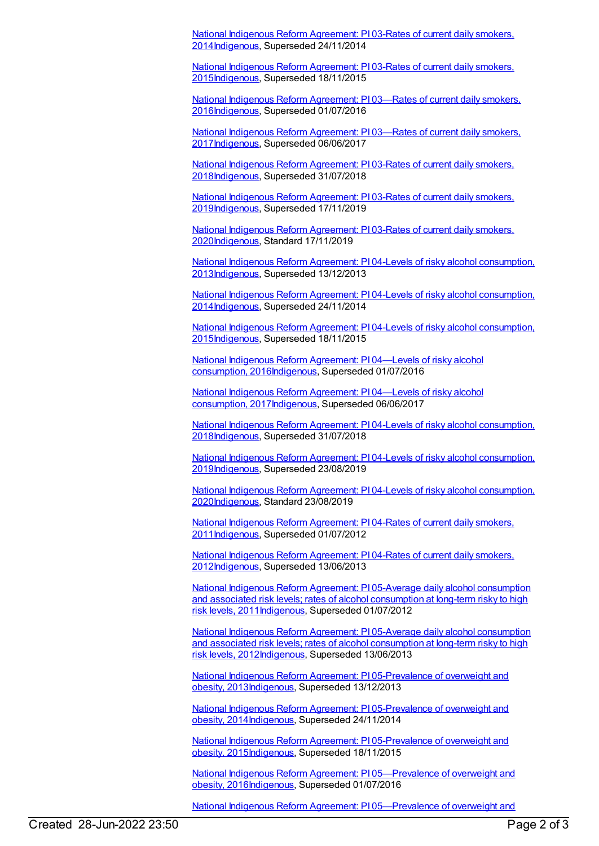National Indigenous Reform Agreement: PI 03-Rates of current daily smokers, [2014Indigenous,](https://meteor.aihw.gov.au/content/525831) Superseded 24/11/2014

National Indigenous Reform Agreement: PI 03-Rates of current daily smokers, [2015Indigenous,](https://meteor.aihw.gov.au/content/579068) Superseded 18/11/2015

National Indigenous Reform Agreement: PI 03—Rates of current daily smokers, [2016Indigenous,](https://meteor.aihw.gov.au/content/611151) Superseded 01/07/2016

National Indigenous Reform Agreement: PI 03—Rates of current daily smokers, [2017Indigenous,](https://meteor.aihw.gov.au/content/645387) Superseded 06/06/2017

National Indigenous Reform Agreement: PI 03-Rates of current daily smokers, [2018](https://meteor.aihw.gov.au/content/668668)[Indigenou](https://meteor.aihw.gov.au/RegistrationAuthority/6)[s,](https://meteor.aihw.gov.au/content/668668) Superseded 31/07/2018

National Indigenous Reform Agreement: PI 03-Rates of current daily smokers, [2019Indigenous,](https://meteor.aihw.gov.au/content/697098) Superseded 17/11/2019

National Indigenous Reform Agreement: PI 03-Rates of current daily smokers, [2020Indigenous,](https://meteor.aihw.gov.au/content/718475) Standard 17/11/2019

National Indigenous Reform Agreement: PI 04-Levels of risky alcohol consumption, [2013Indigenous,](https://meteor.aihw.gov.au/content/482978) Superseded 13/12/2013

National Indigenous Reform Agreement: PI 04-Levels of risky alcohol consumption, [2014Indigenous,](https://meteor.aihw.gov.au/content/525837) Superseded 24/11/2014

National Indigenous Reform Agreement: PI 04-Levels of risky alcohol consumption, [2015](https://meteor.aihw.gov.au/content/579070)[Indigenou](https://meteor.aihw.gov.au/RegistrationAuthority/6)[s,](https://meteor.aihw.gov.au/content/579070) Superseded 18/11/2015

National Indigenous Reform Agreement: PI 04—Levels of risky alcohol consumption, [2016Indigenous,](https://meteor.aihw.gov.au/content/611159) Superseded 01/07/2016

National Indigenous Reform Agreement: PI 04—Levels of risky alcohol consumption, [2017Indigenous,](https://meteor.aihw.gov.au/content/645389) Superseded 06/06/2017

National Indigenous Reform Agreement: PI 04-Levels of risky alcohol consumption, [2018Indigenous,](https://meteor.aihw.gov.au/content/668670) Superseded 31/07/2018

National Indigenous Reform Agreement: PI 04-Levels of risky alcohol consumption, [2019Indigenous,](https://meteor.aihw.gov.au/content/697285) Superseded 23/08/2019

National Indigenous Reform Agreement: PI 04-Levels of risky alcohol consumption, [2020](https://meteor.aihw.gov.au/content/718478)[Indigenou](https://meteor.aihw.gov.au/RegistrationAuthority/6)[s,](https://meteor.aihw.gov.au/content/718478) Standard 23/08/2019

National Indigenous Reform Agreement: PI 04-Rates of current daily smokers, [2011Indigenous,](https://meteor.aihw.gov.au/content/425769) Superseded 01/07/2012

National Indigenous Reform Agreement: PI 04-Rates of current daily smokers, [2012Indigenous,](https://meteor.aihw.gov.au/content/438495) Superseded 13/06/2013

National Indigenous Reform Agreement: PI 05-Average daily alcohol consumption and associated risk levels; rates of alcohol consumption at long-term risky to high risk levels, [2011](https://meteor.aihw.gov.au/content/425744)[Indigenous](https://meteor.aihw.gov.au/RegistrationAuthority/6)[,](https://meteor.aihw.gov.au/content/425744) Superseded 01/07/2012

National Indigenous Reform Agreement: PI 05-Average daily alcohol consumption and associated risk levels; rates of alcohol consumption at long-term risky to high risk levels, [2012Indigenous,](https://meteor.aihw.gov.au/content/438585) Superseded 13/06/2013

National Indigenous Reform Agreement: PI [05-Prevalence](https://meteor.aihw.gov.au/content/483079) of overweight and obesity, 2013[Indigenous](https://meteor.aihw.gov.au/RegistrationAuthority/6), Superseded 13/12/2013

National Indigenous Reform Agreement: PI 05-Prevalence of overweight and obesity, [2014Indigenous,](https://meteor.aihw.gov.au/content/525842) Superseded 24/11/2014

National Indigenous Reform Agreement: PI [05-Prevalence](https://meteor.aihw.gov.au/content/579072) of overweight and obesity, 2015[Indigenous](https://meteor.aihw.gov.au/RegistrationAuthority/6), Superseded 18/11/2015

National Indigenous Reform Agreement: PI [05—Prevalence](https://meteor.aihw.gov.au/content/611167) of overweight and obesity, 2016[Indigenous](https://meteor.aihw.gov.au/RegistrationAuthority/6), Superseded 01/07/2016

National Indigenous Reform Agreement: PI [05—Prevalence](https://meteor.aihw.gov.au/content/645391) of overweight and